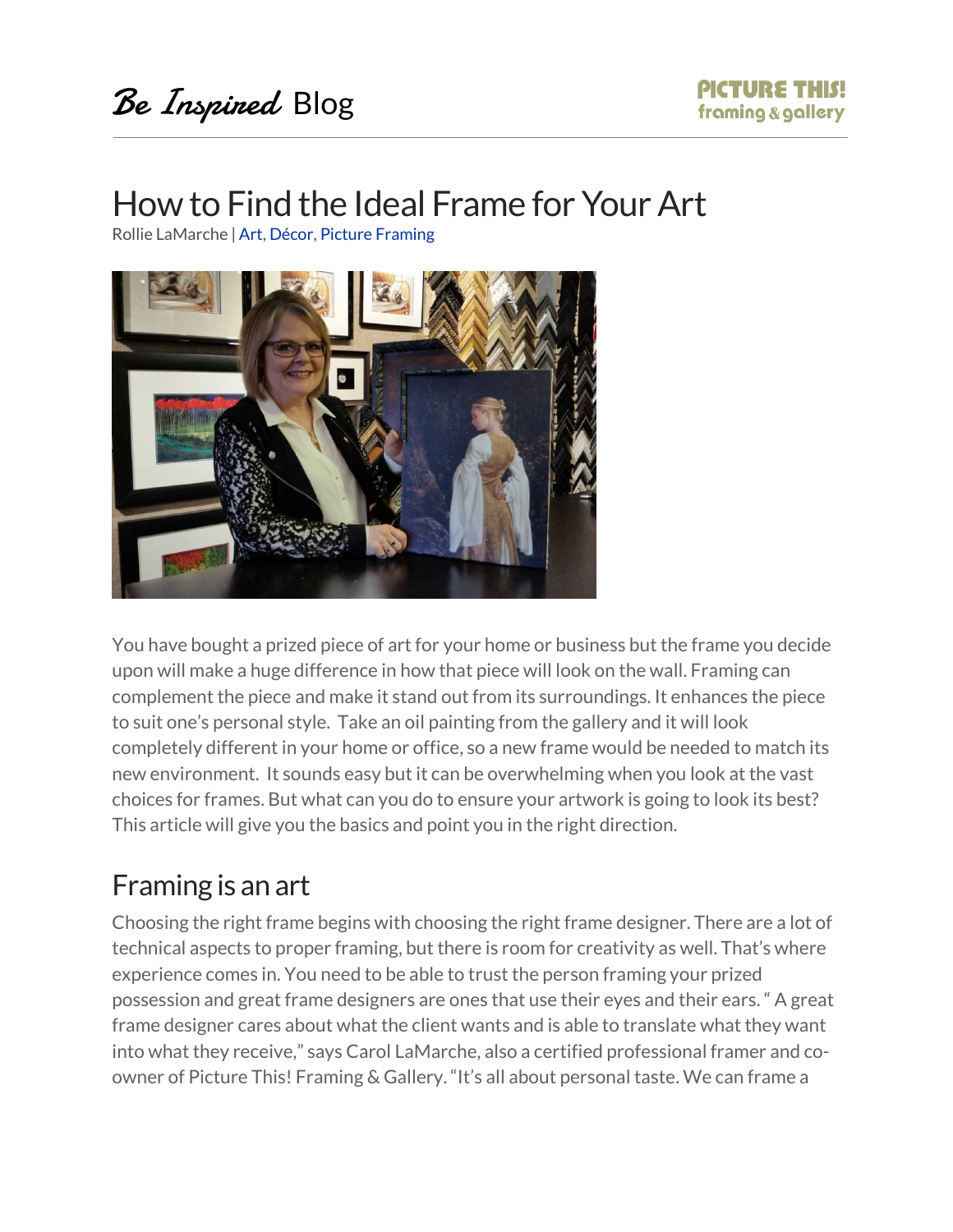# How to Find the Ideal Frame for Your Art

Rollie LaMarche | Art, Décor, Picture Framing



You have bought a prized piece of art for your home or business but the frame you decide upon will make a huge difference in how that piece will look on the wall. Framing can complement the piece and make it stand out from its surroundings. It enhances the piece to suit one's personal style. Take an oil painting from the gallery and it will look completely different in your home or office, so a new frame would be needed to match its new environment. It sounds easy but it can be overwhelming when you look at the vast choices for frames. But what can you do to ensure your artwork is going to look its best? This article will give you the basics and point you in the right direction.

#### Framing is an art

Choosing the right frame begins with choosing the right frame designer. There are a lot of technical aspects to proper framing, but there is room for creativity as well. That's where experience comes in. You need to be able to trust the person framing your prized possession and great frame designers are ones that use their eyes and their ears. " A great frame designer cares about what the client wants and is able to translate what they want into what they receive," says Carol LaMarche, also a certified professional framer and coowner of Picture This! Framing & Gallery. "It's all about personal taste. We can frame a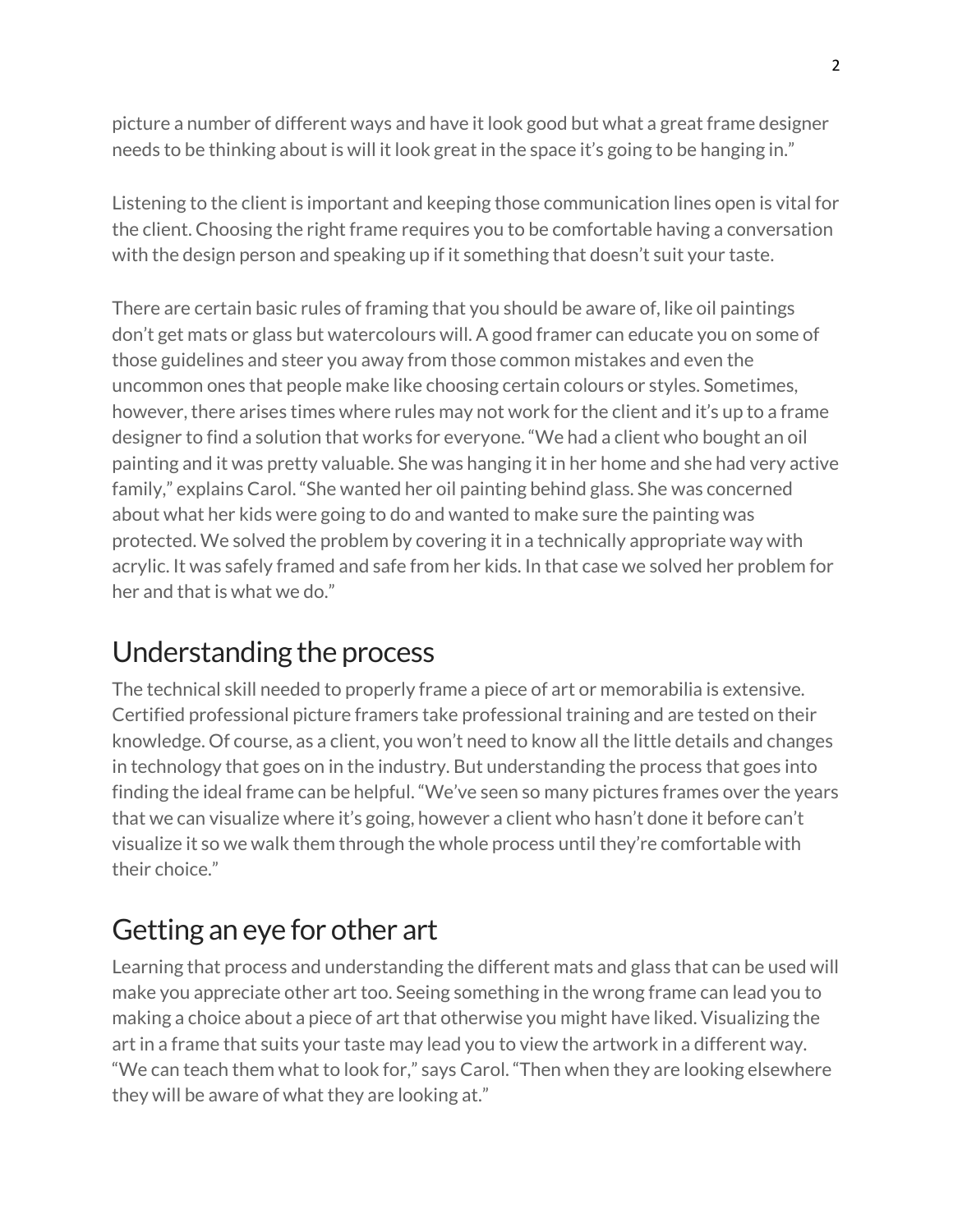picture a number of different ways and have it look good but what a great frame designer needs to be thinking about is will it look great in the space it's going to be hanging in."

Listening to the client is important and keeping those communication lines open is vital for the client. Choosing the right frame requires you to be comfortable having a conversation with the design person and speaking up if it something that doesn't suit your taste.

There are certain basic rules of framing that you should be aware of, like oil paintings don't get mats or glass but watercolours will. A good framer can educate you on some of those guidelines and steer you away from those common mistakes and even the uncommon ones that people make like choosing certain colours or styles. Sometimes, however, there arises times where rules may not work for the client and it's up to a frame designer to find a solution that works for everyone. "We had a client who bought an oil painting and it was pretty valuable. She was hanging it in her home and she had very active family," explains Carol. "She wanted her oil painting behind glass. She was concerned about what her kids were going to do and wanted to make sure the painting was protected. We solved the problem by covering it in a technically appropriate way with acrylic. It was safely framed and safe from her kids. In that case we solved her problem for her and that is what we do."

## Understanding the process

The technical skill needed to properly frame a piece of art or memorabilia is extensive. Certified professional picture framers take professional training and are tested on their knowledge. Of course, as a client, you won't need to know all the little details and changes in technology that goes on in the industry. But understanding the process that goes into finding the ideal frame can be helpful. "We've seen so many pictures frames over the years that we can visualize where it's going, however a client who hasn't done it before can't visualize it so we walk them through the whole process until they're comfortable with their choice."

## Getting an eye for other art

Learning that process and understanding the different mats and glass that can be used will make you appreciate other art too. Seeing something in the wrong frame can lead you to making a choice about a piece of art that otherwise you might have liked. Visualizing the art in a frame that suits your taste may lead you to view the artwork in a different way. "We can teach them what to look for," says Carol. "Then when they are looking elsewhere they will be aware of what they are looking at."